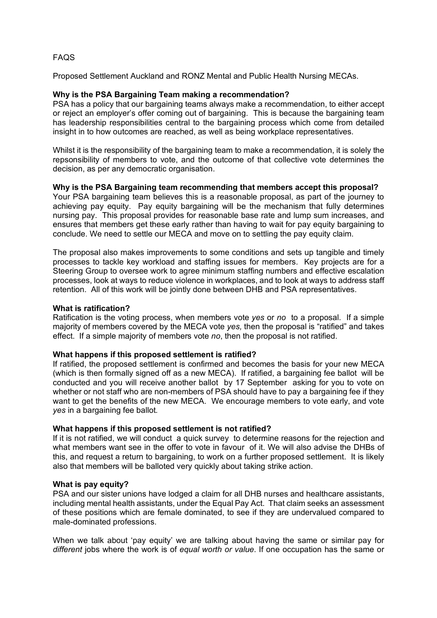# FAQS

Proposed Settlement Auckland and RONZ Mental and Public Health Nursing MECAs.

### **Why is the PSA Bargaining Team making a recommendation?**

PSA has a policy that our bargaining teams always make a recommendation, to either accept or reject an employer's offer coming out of bargaining. This is because the bargaining team has leadership responsibilities central to the bargaining process which come from detailed insight in to how outcomes are reached, as well as being workplace representatives.

Whilst it is the responsibility of the bargaining team to make a recommendation, it is solely the repsonsibility of members to vote, and the outcome of that collective vote determines the decision, as per any democratic organisation.

## **Why is the PSA Bargaining team recommending that members accept this proposal?**

Your PSA bargaining team believes this is a reasonable proposal, as part of the journey to achieving pay equity. Pay equity bargaining will be the mechanism that fully determines nursing pay. This proposal provides for reasonable base rate and lump sum increases, and ensures that members get these early rather than having to wait for pay equity bargaining to conclude. We need to settle our MECA and move on to settling the pay equity claim.

The proposal also makes improvements to some conditions and sets up tangible and timely processes to tackle key workload and staffing issues for members. Key projects are for a Steering Group to oversee work to agree minimum staffing numbers and effective escalation processes, look at ways to reduce violence in workplaces, and to look at ways to address staff retention. All of this work will be jointly done between DHB and PSA representatives.

### **What is ratification?**

Ratification is the voting process, when members vote *yes* or *no* to a proposal. If a simple majority of members covered by the MECA vote *yes,* then the proposal is "ratified" and takes effect. If a simple majority of members vote *no*, then the proposal is not ratified.

#### **What happens if this proposed settlement is ratified?**

If ratified, the proposed settlement is confirmed and becomes the basis for your new MECA (which is then formally signed off as a new MECA). If ratified, a bargaining fee ballot will be conducted and you will receive another ballot by 17 September asking for you to vote on whether or not staff who are non-members of PSA should have to pay a bargaining fee if they want to get the benefits of the new MECA. We encourage members to vote early, and vote *yes* in a bargaining fee ballot*.*

# **What happens if this proposed settlement is not ratified?**

If it is not ratified, we will conduct a quick survey to determine reasons for the rejection and what members want see in the offer to vote in favour of it. We will also advise the DHBs of this, and request a return to bargaining, to work on a further proposed settlement. It is likely also that members will be balloted very quickly about taking strike action.

#### **What is pay equity?**

PSA and our sister unions have lodged a claim for all DHB nurses and healthcare assistants, including mental health assistants, under the Equal Pay Act. That claim seeks an assessment of these positions which are female dominated, to see if they are undervalued compared to male-dominated professions.

When we talk about 'pay equity' we are talking about having the same or similar pay for *different* jobs where the work is of *equal worth or value*. If one occupation has the same or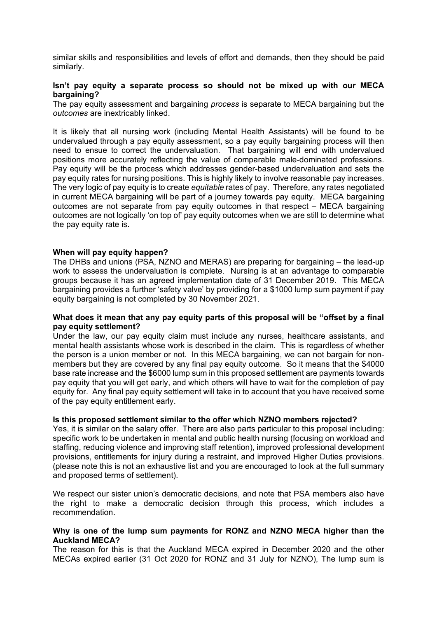similar skills and responsibilities and levels of effort and demands, then they should be paid similarly.

## **Isn't pay equity a separate process so should not be mixed up with our MECA bargaining?**

The pay equity assessment and bargaining *process* is separate to MECA bargaining but the *outcomes* are inextricably linked.

It is likely that all nursing work (including Mental Health Assistants) will be found to be undervalued through a pay equity assessment, so a pay equity bargaining process will then need to ensue to correct the undervaluation. That bargaining will end with undervalued positions more accurately reflecting the value of comparable male-dominated professions. Pav equity will be the process which addresses gender-based undervaluation and sets the pay equity rates for nursing positions. This is highly likely to involve reasonable pay increases. The very logic of pay equity is to create *equitable* rates of pay. Therefore, any rates negotiated in current MECA bargaining will be part of a journey towards pay equity. MECA bargaining outcomes are not separate from pay equity outcomes in that respect – MECA bargaining outcomes are not logically 'on top of' pay equity outcomes when we are still to determine what the pay equity rate is.

#### **When will pay equity happen?**

The DHBs and unions (PSA, NZNO and MERAS) are preparing for bargaining – the lead-up work to assess the undervaluation is complete. Nursing is at an advantage to comparable groups because it has an agreed implementation date of 31 December 2019. This MECA bargaining provides a further 'safety valve' by providing for a \$1000 lump sum payment if pay equity bargaining is not completed by 30 November 2021.

#### **What does it mean that any pay equity parts of this proposal will be "offset by a final pay equity settlement?**

Under the law, our pay equity claim must include any nurses, healthcare assistants, and mental health assistants whose work is described in the claim. This is regardless of whether the person is a union member or not. In this MECA bargaining, we can not bargain for nonmembers but they are covered by any final pay equity outcome. So it means that the \$4000 base rate increase and the \$6000 lump sum in this proposed settlement are payments towards pay equity that you will get early, and which others will have to wait for the completion of pay equity for. Any final pay equity settlement will take in to account that you have received some of the pay equity entitlement early.

#### **Is this proposed settlement similar to the offer which NZNO members rejected?**

Yes, it is similar on the salary offer. There are also parts particular to this proposal including: specific work to be undertaken in mental and public health nursing (focusing on workload and staffing, reducing violence and improving staff retention), improved professional development provisions, entitlements for injury during a restraint, and improved Higher Duties provisions. (please note this is not an exhaustive list and you are encouraged to look at the full summary and proposed terms of settlement).

We respect our sister union's democratic decisions, and note that PSA members also have the right to make a democratic decision through this process, which includes a recommendation.

#### **Why is one of the lump sum payments for RONZ and NZNO MECA higher than the Auckland MECA?**

The reason for this is that the Auckland MECA expired in December 2020 and the other MECAs expired earlier (31 Oct 2020 for RONZ and 31 July for NZNO), The lump sum is